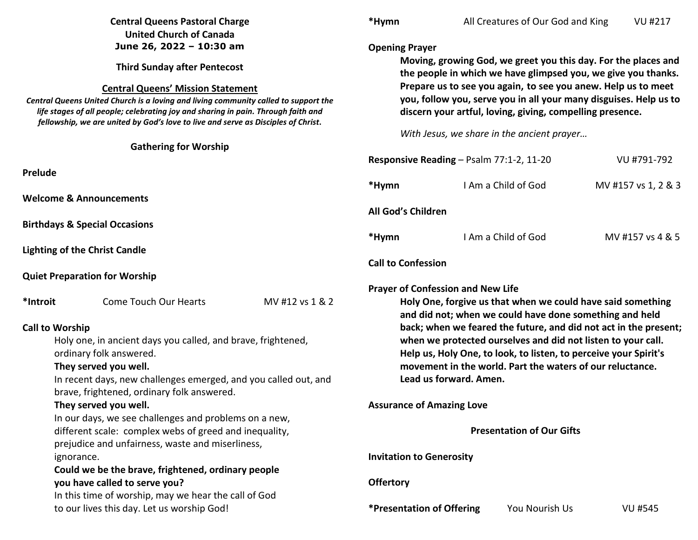|                                                                                                                                                                                                                                                                                                                                                  | <b>Central Queens Pastoral Charge</b><br><b>United Church of Canada</b>                            |                                                                                                                                                                                                                                                                                                                                    | *Hymn                                                        |                        | All Creatures of Our God and King                                | <b>VU #217</b>                                                   |  |
|--------------------------------------------------------------------------------------------------------------------------------------------------------------------------------------------------------------------------------------------------------------------------------------------------------------------------------------------------|----------------------------------------------------------------------------------------------------|------------------------------------------------------------------------------------------------------------------------------------------------------------------------------------------------------------------------------------------------------------------------------------------------------------------------------------|--------------------------------------------------------------|------------------------|------------------------------------------------------------------|------------------------------------------------------------------|--|
|                                                                                                                                                                                                                                                                                                                                                  | June 26, 2022 - 10:30 am                                                                           |                                                                                                                                                                                                                                                                                                                                    | <b>Opening Prayer</b>                                        |                        |                                                                  |                                                                  |  |
| <b>Third Sunday after Pentecost</b><br><b>Central Queens' Mission Statement</b><br>Central Queens United Church is a loving and living community called to support the<br>life stages of all people; celebrating joy and sharing in pain. Through faith and<br>fellowship, we are united by God's love to live and serve as Disciples of Christ. |                                                                                                    | Moving, growing God, we greet you this day. For the places and<br>the people in which we have glimpsed you, we give you thanks.<br>Prepare us to see you again, to see you anew. Help us to meet<br>you, follow you, serve you in all your many disguises. Help us to<br>discern your artful, loving, giving, compelling presence. |                                                              |                        |                                                                  |                                                                  |  |
|                                                                                                                                                                                                                                                                                                                                                  |                                                                                                    |                                                                                                                                                                                                                                                                                                                                    |                                                              |                        |                                                                  |                                                                  |  |
|                                                                                                                                                                                                                                                                                                                                                  | <b>Gathering for Worship</b>                                                                       |                                                                                                                                                                                                                                                                                                                                    |                                                              |                        |                                                                  |                                                                  |  |
|                                                                                                                                                                                                                                                                                                                                                  |                                                                                                    |                                                                                                                                                                                                                                                                                                                                    | Responsive Reading - Psalm 77:1-2, 11-20                     |                        |                                                                  | VU #791-792                                                      |  |
| Prelude                                                                                                                                                                                                                                                                                                                                          |                                                                                                    |                                                                                                                                                                                                                                                                                                                                    | *Hymn                                                        |                        | I Am a Child of God                                              | MV #157 vs 1, 2 & 3                                              |  |
|                                                                                                                                                                                                                                                                                                                                                  | <b>Welcome &amp; Announcements</b>                                                                 |                                                                                                                                                                                                                                                                                                                                    | All God's Children                                           |                        |                                                                  |                                                                  |  |
|                                                                                                                                                                                                                                                                                                                                                  | <b>Birthdays &amp; Special Occasions</b>                                                           |                                                                                                                                                                                                                                                                                                                                    |                                                              |                        |                                                                  |                                                                  |  |
|                                                                                                                                                                                                                                                                                                                                                  |                                                                                                    |                                                                                                                                                                                                                                                                                                                                    | *Hymn                                                        |                        | I Am a Child of God                                              | MV #157 vs 4 & 5                                                 |  |
|                                                                                                                                                                                                                                                                                                                                                  | <b>Lighting of the Christ Candle</b>                                                               |                                                                                                                                                                                                                                                                                                                                    |                                                              |                        |                                                                  |                                                                  |  |
|                                                                                                                                                                                                                                                                                                                                                  |                                                                                                    |                                                                                                                                                                                                                                                                                                                                    | <b>Call to Confession</b>                                    |                        |                                                                  |                                                                  |  |
|                                                                                                                                                                                                                                                                                                                                                  | <b>Quiet Preparation for Worship</b>                                                               |                                                                                                                                                                                                                                                                                                                                    | <b>Prayer of Confession and New Life</b>                     |                        |                                                                  |                                                                  |  |
| *Introit                                                                                                                                                                                                                                                                                                                                         | <b>Come Touch Our Hearts</b>                                                                       | MV #12 vs 1 & 2                                                                                                                                                                                                                                                                                                                    |                                                              |                        | Holy One, forgive us that when we could have said something      |                                                                  |  |
|                                                                                                                                                                                                                                                                                                                                                  |                                                                                                    |                                                                                                                                                                                                                                                                                                                                    |                                                              |                        | and did not; when we could have done something and held          |                                                                  |  |
| <b>Call to Worship</b>                                                                                                                                                                                                                                                                                                                           |                                                                                                    |                                                                                                                                                                                                                                                                                                                                    |                                                              |                        |                                                                  | back; when we feared the future, and did not act in the present; |  |
|                                                                                                                                                                                                                                                                                                                                                  | Holy one, in ancient days you called, and brave, frightened,                                       |                                                                                                                                                                                                                                                                                                                                    | when we protected ourselves and did not listen to your call. |                        |                                                                  |                                                                  |  |
|                                                                                                                                                                                                                                                                                                                                                  | ordinary folk answered.                                                                            |                                                                                                                                                                                                                                                                                                                                    |                                                              |                        | Help us, Holy One, to look, to listen, to perceive your Spirit's |                                                                  |  |
|                                                                                                                                                                                                                                                                                                                                                  | They served you well.                                                                              |                                                                                                                                                                                                                                                                                                                                    | movement in the world. Part the waters of our reluctance.    |                        |                                                                  |                                                                  |  |
| In recent days, new challenges emerged, and you called out, and                                                                                                                                                                                                                                                                                  |                                                                                                    |                                                                                                                                                                                                                                                                                                                                    |                                                              | Lead us forward. Amen. |                                                                  |                                                                  |  |
| brave, frightened, ordinary folk answered.<br>They served you well.                                                                                                                                                                                                                                                                              |                                                                                                    |                                                                                                                                                                                                                                                                                                                                    | <b>Assurance of Amazing Love</b>                             |                        |                                                                  |                                                                  |  |
|                                                                                                                                                                                                                                                                                                                                                  | In our days, we see challenges and problems on a new,                                              |                                                                                                                                                                                                                                                                                                                                    |                                                              |                        |                                                                  |                                                                  |  |
| different scale: complex webs of greed and inequality,                                                                                                                                                                                                                                                                                           |                                                                                                    |                                                                                                                                                                                                                                                                                                                                    |                                                              |                        | <b>Presentation of Our Gifts</b>                                 |                                                                  |  |
| prejudice and unfairness, waste and miserliness,                                                                                                                                                                                                                                                                                                 |                                                                                                    |                                                                                                                                                                                                                                                                                                                                    |                                                              |                        |                                                                  |                                                                  |  |
| ignorance.                                                                                                                                                                                                                                                                                                                                       |                                                                                                    |                                                                                                                                                                                                                                                                                                                                    | <b>Invitation to Generosity</b>                              |                        |                                                                  |                                                                  |  |
| Could we be the brave, frightened, ordinary people                                                                                                                                                                                                                                                                                               |                                                                                                    |                                                                                                                                                                                                                                                                                                                                    |                                                              |                        |                                                                  |                                                                  |  |
| you have called to serve you?                                                                                                                                                                                                                                                                                                                    |                                                                                                    |                                                                                                                                                                                                                                                                                                                                    | <b>Offertory</b>                                             |                        |                                                                  |                                                                  |  |
|                                                                                                                                                                                                                                                                                                                                                  | In this time of worship, may we hear the call of God<br>to our lives this day. Let us worship God! |                                                                                                                                                                                                                                                                                                                                    | *Presentation of Offering                                    |                        | You Nourish Us                                                   | <b>VU #545</b>                                                   |  |
|                                                                                                                                                                                                                                                                                                                                                  |                                                                                                    |                                                                                                                                                                                                                                                                                                                                    |                                                              |                        |                                                                  |                                                                  |  |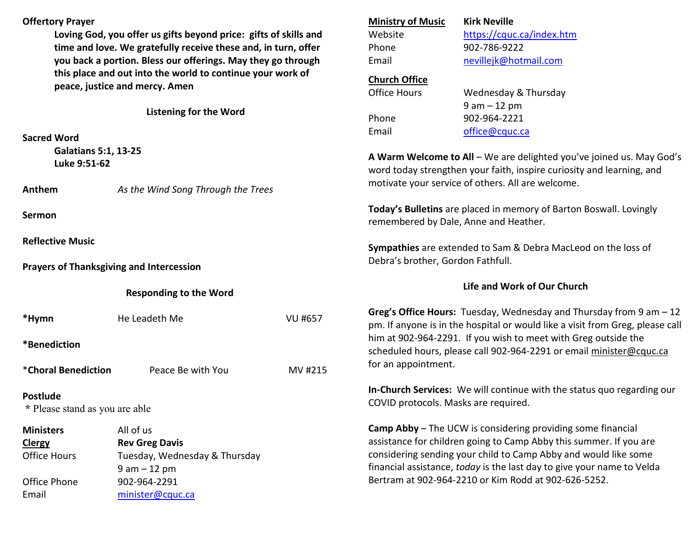| <b>Offertory Prayer</b>                           |                                                                  |                | <b>Ministry of Music</b><br><b>Kirk Neville</b>                                                                                               |                                                                                                                                                      |  |  |
|---------------------------------------------------|------------------------------------------------------------------|----------------|-----------------------------------------------------------------------------------------------------------------------------------------------|------------------------------------------------------------------------------------------------------------------------------------------------------|--|--|
|                                                   | Loving God, you offer us gifts beyond price: gifts of skills and |                | Website                                                                                                                                       | https://cquc.ca/index.htm                                                                                                                            |  |  |
|                                                   | time and love. We gratefully receive these and, in turn, offer   |                | Phone                                                                                                                                         | 902-786-9222                                                                                                                                         |  |  |
|                                                   | you back a portion. Bless our offerings. May they go through     |                | Email                                                                                                                                         | nevillejk@hotmail.com                                                                                                                                |  |  |
|                                                   | this place and out into the world to continue your work of       |                | <b>Church Office</b>                                                                                                                          |                                                                                                                                                      |  |  |
|                                                   | peace, justice and mercy. Amen                                   |                | <b>Office Hours</b>                                                                                                                           | Wednesday & Thursday                                                                                                                                 |  |  |
|                                                   |                                                                  |                |                                                                                                                                               | $9 am - 12 pm$                                                                                                                                       |  |  |
|                                                   | <b>Listening for the Word</b>                                    |                | Phone                                                                                                                                         | 902-964-2221                                                                                                                                         |  |  |
|                                                   |                                                                  |                | Email                                                                                                                                         | office@cquc.ca                                                                                                                                       |  |  |
| <b>Sacred Word</b>                                |                                                                  |                |                                                                                                                                               |                                                                                                                                                      |  |  |
| <b>Galatians 5:1, 13-25</b><br>Luke 9:51-62       |                                                                  |                | A Warm Welcome to All - We are delighted you've joined us. May God's<br>word today strengthen your faith, inspire curiosity and learning, and |                                                                                                                                                      |  |  |
| Anthem                                            | As the Wind Song Through the Trees                               |                | motivate your service of others. All are welcome.                                                                                             |                                                                                                                                                      |  |  |
| <b>Sermon</b>                                     |                                                                  |                | Today's Bulletins are placed in memory of Barton Boswall. Lovingly<br>remembered by Dale, Anne and Heather.                                   |                                                                                                                                                      |  |  |
| <b>Reflective Music</b>                           |                                                                  |                | Sympathies are extended to Sam & Debra MacLeod on the loss of<br>Debra's brother, Gordon Fathfull.                                            |                                                                                                                                                      |  |  |
| <b>Prayers of Thanksgiving and Intercession</b>   |                                                                  |                |                                                                                                                                               |                                                                                                                                                      |  |  |
|                                                   |                                                                  |                |                                                                                                                                               |                                                                                                                                                      |  |  |
|                                                   | <b>Responding to the Word</b>                                    |                |                                                                                                                                               | Life and Work of Our Church                                                                                                                          |  |  |
| *Hymn                                             | He Leadeth Me                                                    | <b>VU #657</b> |                                                                                                                                               | Greg's Office Hours: Tuesday, Wednesday and Thursday from 9 am - 12<br>pm. If anyone is in the hospital or would like a visit from Greg, please call |  |  |
| *Benediction                                      |                                                                  |                |                                                                                                                                               | him at 902-964-2291. If you wish to meet with Greg outside the<br>scheduled hours, please call 902-964-2291 or email minister@cquc.ca                |  |  |
| *Choral Benediction                               | Peace Be with You                                                | MV #215        | for an appointment.                                                                                                                           |                                                                                                                                                      |  |  |
| <b>Postlude</b><br>* Please stand as you are able |                                                                  |                | COVID protocols. Masks are required.                                                                                                          | In-Church Services: We will continue with the status quo regarding our                                                                               |  |  |
| <b>Ministers</b>                                  | All of us                                                        |                |                                                                                                                                               | <b>Camp Abby</b> – The UCW is considering providing some financial                                                                                   |  |  |
|                                                   | <b>Rev Greg Davis</b>                                            |                |                                                                                                                                               | assistance for children going to Camp Abby this summer. If you are                                                                                   |  |  |
| <b>Clergy</b><br><b>Office Hours</b>              | Tuesday, Wednesday & Thursday                                    |                |                                                                                                                                               | considering sending your child to Camp Abby and would like some                                                                                      |  |  |
|                                                   | $9 am - 12 pm$                                                   |                |                                                                                                                                               | financial assistance, today is the last day to give your name to Velda                                                                               |  |  |
| Office Phone                                      | 902-964-2291                                                     |                |                                                                                                                                               | Bertram at 902-964-2210 or Kim Rodd at 902-626-5252.                                                                                                 |  |  |
| Email                                             | minister@cquc.ca                                                 |                |                                                                                                                                               |                                                                                                                                                      |  |  |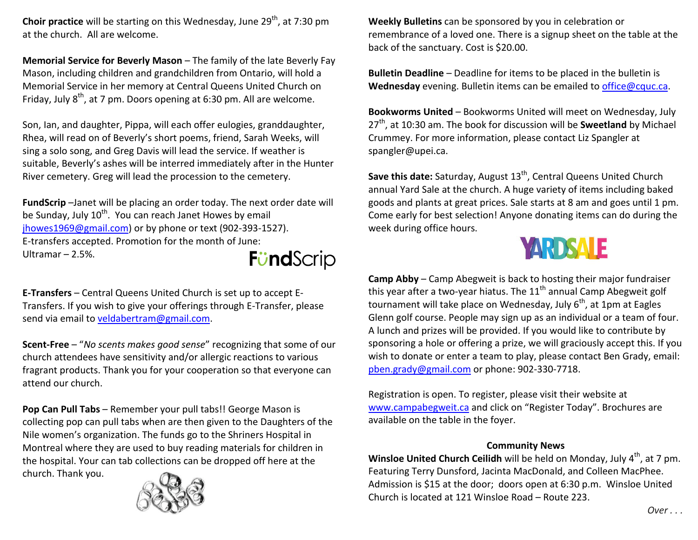**Choir practice** will be starting on this Wednesday, June 29<sup>th</sup>, at 7:30 pm at the church. All are welcome.

**Memorial Service for Beverly Mason** – The family of the late Beverly Fay Mason, including children and grandchildren from Ontario, will hold a Memorial Service in her memory at Central Queens United Church on Friday, July  $8<sup>th</sup>$ , at 7 pm. Doors opening at 6:30 pm. All are welcome.

Son, Ian, and daughter, Pippa, will each offer eulogies, granddaughter, Rhea, will read on of Beverly's short poems, friend, Sarah Weeks, will sing a solo song, and Greg Davis will lead the service. If weather is suitable, Beverly's ashes will be interred immediately after in the Hunter River cemetery. Greg will lead the procession to the cemetery.

**FundScrip** –Janet will be placing an order today. The next order date will be Sunday, July  $10^{th}$ . You can reach Janet Howes by email jhowes1969@gmail.com) or by phone or text (902-393-1527). E-transfers accepted. Promotion for the month of June: Ultramar – 2.5%. **FündScrip** 

**E-Transfers** – Central Queens United Church is set up to accept E-Transfers. If you wish to give your offerings through E-Transfer, please send via email to veldabertram@gmail.com.

**Scent-Free** – "*No scents makes good sense*" recognizing that some of our church attendees have sensitivity and/or allergic reactions to various fragrant products. Thank you for your cooperation so that everyone can attend our church.

**Pop Can Pull Tabs** – Remember your pull tabs!! George Mason is collecting pop can pull tabs when are then given to the Daughters of the Nile women's organization. The funds go to the Shriners Hospital in Montreal where they are used to buy reading materials for children in the hospital. Your can tab collections can be dropped off here at the church. Thank you.



**Weekly Bulletins** can be sponsored by you in celebration or remembrance of a loved one. There is a signup sheet on the table at the back of the sanctuary. Cost is \$20.00.

**Bulletin Deadline** – Deadline for items to be placed in the bulletin is **Wednesday** evening. Bulletin items can be emailed to office@cquc.ca.

**Bookworms United** – Bookworms United will meet on Wednesday, July 27<sup>th</sup>, at 10:30 am. The book for discussion will be **Sweetland** by Michael Crummey. For more information, please contact Liz Spangler at spangler@upei.ca.

Save this date: Saturday, August 13<sup>th</sup>, Central Queens United Church annual Yard Sale at the church. A huge variety of items including baked goods and plants at great prices. Sale starts at 8 am and goes until 1 pm. Come early for best selection! Anyone donating items can do during the week during office hours.



**Camp Abby** – Camp Abegweit is back to hosting their major fundraiser this year after a two-year hiatus. The  $11<sup>th</sup>$  annual Camp Abegweit golf tournament will take place on Wednesday, July  $6<sup>th</sup>$ , at 1pm at Eagles Glenn golf course. People may sign up as an individual or a team of four. A lunch and prizes will be provided. If you would like to contribute by sponsoring a hole or offering a prize, we will graciously accept this. If you wish to donate or enter a team to play, please contact Ben Grady, email: pben.grady@gmail.com or phone: 902-330-7718.

Registration is open. To register, please visit their website at www.campabegweit.ca and click on "Register Today". Brochures are available on the table in the foyer.

## **Community News**

**Winsloe United Church Ceilidh** will be held on Monday, July 4<sup>th</sup>, at 7 pm. Featuring Terry Dunsford, Jacinta MacDonald, and Colleen MacPhee. Admission is \$15 at the door; doors open at 6:30 p.m. Winsloe United Church is located at 121 Winsloe Road – Route 223.